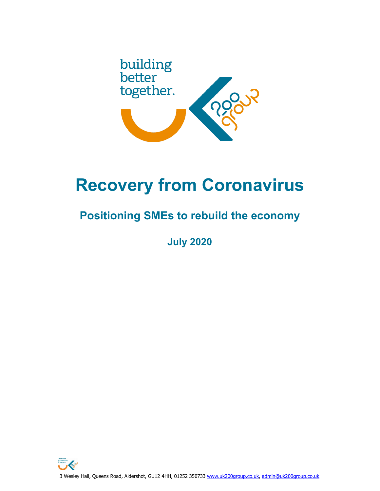

# **Recovery from Coronavirus**

# **Positioning SMEs to rebuild the economy**

**July 2020**

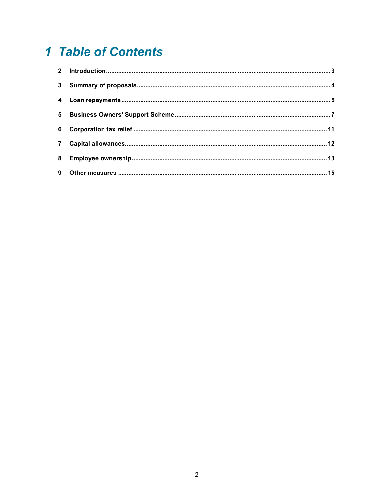# 1 Table of Contents

| 6              |  |
|----------------|--|
| $\overline{7}$ |  |
|                |  |
|                |  |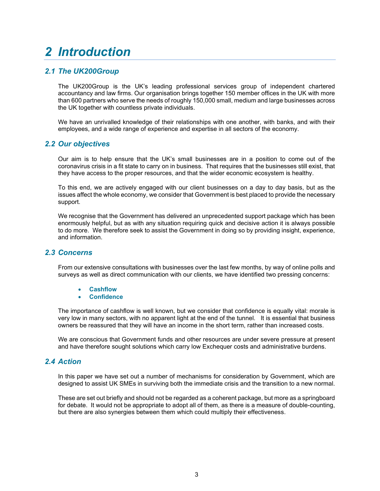# <span id="page-2-0"></span>*2 Introduction*

# *2.1 The UK200Group*

The UK200Group is the UK's leading professional services group of independent chartered accountancy and law firms. Our organisation brings together 150 member offices in the UK with more than 600 partners who serve the needs of roughly 150,000 small, medium and large businesses across the UK together with countless private individuals.

We have an unrivalled knowledge of their relationships with one another, with banks, and with their employees, and a wide range of experience and expertise in all sectors of the economy.

# *2.2 Our objectives*

Our aim is to help ensure that the UK's small businesses are in a position to come out of the coronavirus crisis in a fit state to carry on in business. That requires that the businesses still exist, that they have access to the proper resources, and that the wider economic ecosystem is healthy.

To this end, we are actively engaged with our client businesses on a day to day basis, but as the issues affect the whole economy, we consider that Government is best placed to provide the necessary support.

We recognise that the Government has delivered an unprecedented support package which has been enormously helpful, but as with any situation requiring quick and decisive action it is always possible to do more. We therefore seek to assist the Government in doing so by providing insight, experience, and information.

### *2.3 Concerns*

From our extensive consultations with businesses over the last few months, by way of online polls and surveys as well as direct communication with our clients, we have identified two pressing concerns:

- **Cashflow**
- **Confidence**

The importance of cashflow is well known, but we consider that confidence is equally vital: morale is very low in many sectors, with no apparent light at the end of the tunnel. It is essential that business owners be reassured that they will have an income in the short term, rather than increased costs.

We are conscious that Government funds and other resources are under severe pressure at present and have therefore sought solutions which carry low Exchequer costs and administrative burdens.

### *2.4 Action*

In this paper we have set out a number of mechanisms for consideration by Government, which are designed to assist UK SMEs in surviving both the immediate crisis and the transition to a new normal.

These are set out briefly and should not be regarded as a coherent package, but more as a springboard for debate. It would not be appropriate to adopt all of them, as there is a measure of double-counting, but there are also synergies between them which could multiply their effectiveness.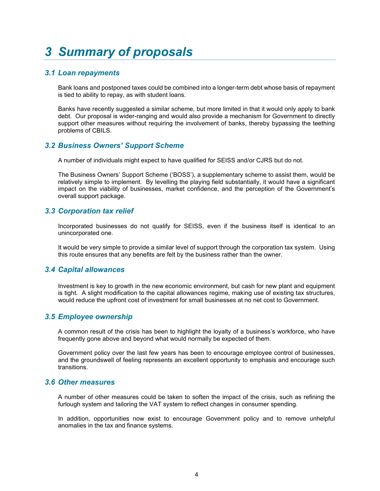# <span id="page-3-0"></span>*3 Summary of proposals*

# *3.1 Loan repayments*

Bank loans and postponed taxes could be combined into a longer-term debt whose basis of repayment is tied to ability to repay, as with student loans.

Banks have recently suggested a similar scheme, but more limited in that it would only apply to bank debt. Our proposal is wider-ranging and would also provide a mechanism for Government to directly support other measures without requiring the involvement of banks, thereby bypassing the teething problems of CBILS.

# *3.2 Business Owners' Support Scheme*

A number of individuals might expect to have qualified for SEISS and/or CJRS but do not.

The Business Owners' Support Scheme ('BOSS'), a supplementary scheme to assist them, would be relatively simple to implement. By levelling the playing field substantially, it would have a significant impact on the viability of businesses, market confidence, and the perception of the Government's overall support package.

# *3.3 Corporation tax relief*

Incorporated businesses do not qualify for SEISS, even if the business itself is identical to an unincorporated one.

It would be very simple to provide a similar level of support through the corporation tax system. Using this route ensures that any benefits are felt by the business rather than the owner.

### *3.4 Capital allowances*

Investment is key to growth in the new economic environment, but cash for new plant and equipment is tight. A slight modification to the capital allowances regime, making use of existing tax structures, would reduce the upfront cost of investment for small businesses at no net cost to Government.

### *3.5 Employee ownership*

A common result of the crisis has been to highlight the loyalty of a business's workforce, who have frequently gone above and beyond what would normally be expected of them.

Government policy over the last few years has been to encourage employee control of businesses, and the groundswell of feeling represents an excellent opportunity to emphasis and encourage such transitions.

### *3.6 Other measures*

A number of other measures could be taken to soften the impact of the crisis, such as refining the furlough system and tailoring the VAT system to reflect changes in consumer spending.

In addition, opportunities now exist to encourage Government policy and to remove unhelpful anomalies in the tax and finance systems.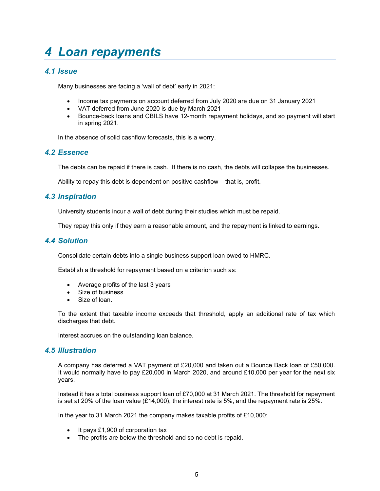# <span id="page-4-0"></span>*4 Loan repayments*

# *4.1 Issue*

Many businesses are facing a 'wall of debt' early in 2021:

- Income tax payments on account deferred from July 2020 are due on 31 January 2021
- VAT deferred from June 2020 is due by March 2021
- Bounce-back loans and CBILS have 12-month repayment holidays, and so payment will start in spring 2021.

In the absence of solid cashflow forecasts, this is a worry.

### *4.2 Essence*

The debts can be repaid if there is cash. If there is no cash, the debts will collapse the businesses.

Ability to repay this debt is dependent on positive cashflow – that is, profit.

### *4.3 Inspiration*

University students incur a wall of debt during their studies which must be repaid.

They repay this only if they earn a reasonable amount, and the repayment is linked to earnings.

### *4.4 Solution*

Consolidate certain debts into a single business support loan owed to HMRC.

Establish a threshold for repayment based on a criterion such as:

- Average profits of the last 3 years
- Size of business
- Size of loan.

To the extent that taxable income exceeds that threshold, apply an additional rate of tax which discharges that debt.

Interest accrues on the outstanding loan balance.

### *4.5 Illustration*

A company has deferred a VAT payment of £20,000 and taken out a Bounce Back loan of £50,000. It would normally have to pay £20,000 in March 2020, and around £10,000 per year for the next six years.

Instead it has a total business support loan of £70,000 at 31 March 2021. The threshold for repayment is set at 20% of the loan value (£14,000), the interest rate is 5%, and the repayment rate is 25%.

In the year to 31 March 2021 the company makes taxable profits of £10,000:

- It pays £1,900 of corporation tax
- The profits are below the threshold and so no debt is repaid.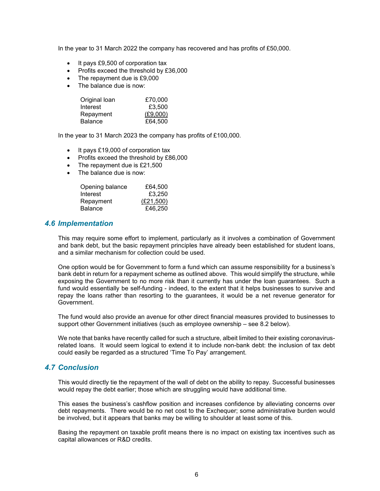In the year to 31 March 2022 the company has recovered and has profits of £50,000.

- It pays £9,500 of corporation tax
- Profits exceed the threshold by £36,000
- The repayment due is £9,000
- The balance due is now:

| Original loan  | £70,000  |
|----------------|----------|
| Interest       | £3,500   |
| Repayment      | (E9,000) |
| <b>Balance</b> | £64,500  |

In the year to 31 March 2023 the company has profits of £100,000.

- It pays £19,000 of corporation tax
- Profits exceed the threshold by £86,000
- The repayment due is £21,500
- The balance due is now:

| Opening balance | £64,500   |
|-----------------|-----------|
| Interest        | £3,250    |
| Repayment       | (E21,500) |
| <b>Balance</b>  | £46,250   |

#### *4.6 Implementation*

This may require some effort to implement, particularly as it involves a combination of Government and bank debt, but the basic repayment principles have already been established for student loans, and a similar mechanism for collection could be used.

One option would be for Government to form a fund which can assume responsibility for a business's bank debt in return for a repayment scheme as outlined above. This would simplify the structure, while exposing the Government to no more risk than it currently has under the loan guarantees. Such a fund would essentially be self-funding - indeed, to the extent that it helps businesses to survive and repay the loans rather than resorting to the guarantees, it would be a net revenue generator for Government.

The fund would also provide an avenue for other direct financial measures provided to businesses to support other Government initiatives (such as employee ownership – see 8.2 below).

We note that banks have recently called for such a structure, albeit limited to their existing coronavirusrelated loans. It would seem logical to extend it to include non-bank debt: the inclusion of tax debt could easily be regarded as a structured 'Time To Pay' arrangement.

#### *4.7 Conclusion*

This would directly tie the repayment of the wall of debt on the ability to repay. Successful businesses would repay the debt earlier; those which are struggling would have additional time.

This eases the business's cashflow position and increases confidence by alleviating concerns over debt repayments. There would be no net cost to the Exchequer; some administrative burden would be involved, but it appears that banks may be willing to shoulder at least some of this.

Basing the repayment on taxable profit means there is no impact on existing tax incentives such as capital allowances or R&D credits.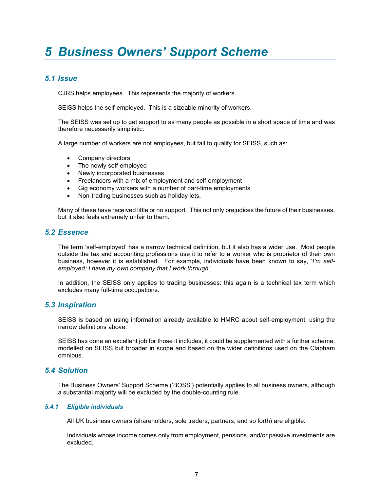# <span id="page-6-0"></span>*5 Business Owners' Support Scheme*

# *5.1 Issue*

CJRS helps employees. This represents the majority of workers.

SEISS helps the self-employed. This is a sizeable minority of workers.

The SEISS was set up to get support to as many people as possible in a short space of time and was therefore necessarily simplistic.

A large number of workers are not employees, but fail to qualify for SEISS, such as:

- Company directors
- The newly self-employed
- Newly incorporated businesses
- Freelancers with a mix of employment and self-employment
- Gig economy workers with a number of part-time employments
- Non-trading businesses such as holiday lets.

Many of these have received little or no support. This not only prejudices the future of their businesses, but it also feels extremely unfair to them.

#### *5.2 Essence*

The term 'self-employed' has a narrow technical definition, but it also has a wider use. Most people outside the tax and accounting professions use it to refer to a worker who is proprietor of their own business, however it is established. For example, individuals have been known to say, '*I'm selfemployed: I have my own company that I work through.*'

In addition, the SEISS only applies to trading businesses: this again is a technical tax term which excludes many full-time occupations.

### *5.3 Inspiration*

SEISS is based on using information already available to HMRC about self-employment, using the narrow definitions above.

SEISS has done an excellent job for those it includes, it could be supplemented with a further scheme, modelled on SEISS but broader in scope and based on the wider definitions used on the Clapham omnibus.

### *5.4 Solution*

The Business Owners' Support Scheme ('BOSS') potentially applies to all business owners, although a substantial majority will be excluded by the double-counting rule.

#### *5.4.1 Eligible individuals*

All UK business owners (shareholders, sole traders, partners, and so forth) are eligible.

Individuals whose income comes only from employment, pensions, and/or passive investments are excluded.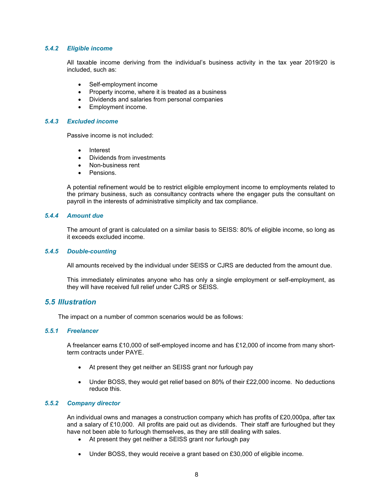#### *5.4.2 Eligible income*

All taxable income deriving from the individual's business activity in the tax year 2019/20 is included, such as:

- Self-employment income
- Property income, where it is treated as a business
- Dividends and salaries from personal companies
- Employment income.

#### *5.4.3 Excluded income*

Passive income is not included:

- Interest
- Dividends from investments
- Non-business rent
- Pensions.

A potential refinement would be to restrict eligible employment income to employments related to the primary business, such as consultancy contracts where the engager puts the consultant on payroll in the interests of administrative simplicity and tax compliance.

#### *5.4.4 Amount due*

The amount of grant is calculated on a similar basis to SEISS: 80% of eligible income, so long as it exceeds excluded income.

#### *5.4.5 Double-counting*

All amounts received by the individual under SEISS or CJRS are deducted from the amount due.

This immediately eliminates anyone who has only a single employment or self-employment, as they will have received full relief under CJRS or SEISS.

#### *5.5 Illustration*

The impact on a number of common scenarios would be as follows:

#### *5.5.1 Freelancer*

A freelancer earns £10,000 of self-employed income and has £12,000 of income from many shortterm contracts under PAYE.

- At present they get neither an SEISS grant nor furlough pay
- Under BOSS, they would get relief based on 80% of their £22,000 income. No deductions reduce this.

#### *5.5.2 Company director*

An individual owns and manages a construction company which has profits of £20,000pa, after tax and a salary of £10,000. All profits are paid out as dividends. Their staff are furloughed but they have not been able to furlough themselves, as they are still dealing with sales.

- At present they get neither a SEISS grant nor furlough pay
- Under BOSS, they would receive a grant based on £30,000 of eligible income.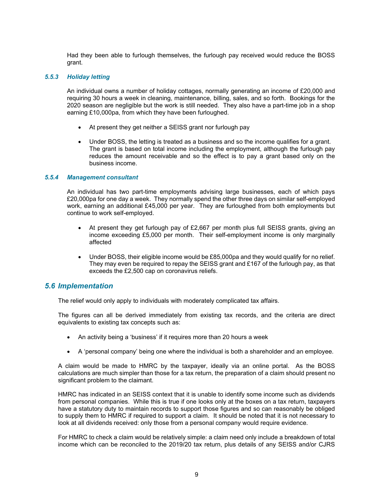Had they been able to furlough themselves, the furlough pay received would reduce the BOSS grant.

#### *5.5.3 Holiday letting*

An individual owns a number of holiday cottages, normally generating an income of £20,000 and requiring 30 hours a week in cleaning, maintenance, billing, sales, and so forth. Bookings for the 2020 season are negligible but the work is still needed. They also have a part-time job in a shop earning £10,000pa, from which they have been furloughed.

- At present they get neither a SEISS grant nor furlough pay
- Under BOSS, the letting is treated as a business and so the income qualifies for a grant. The grant is based on total income including the employment, although the furlough pay reduces the amount receivable and so the effect is to pay a grant based only on the business income.

#### *5.5.4 Management consultant*

An individual has two part-time employments advising large businesses, each of which pays £20,000pa for one day a week. They normally spend the other three days on similar self-employed work, earning an additional £45,000 per year. They are furloughed from both employments but continue to work self-employed.

- At present they get furlough pay of £2,667 per month plus full SEISS grants, giving an income exceeding £5,000 per month. Their self-employment income is only marginally affected
- Under BOSS, their eligible income would be £85,000pa and they would qualify for no relief. They may even be required to repay the SEISS grant and £167 of the furlough pay, as that exceeds the £2,500 cap on coronavirus reliefs.

#### *5.6 Implementation*

The relief would only apply to individuals with moderately complicated tax affairs.

The figures can all be derived immediately from existing tax records, and the criteria are direct equivalents to existing tax concepts such as:

- An activity being a 'business' if it requires more than 20 hours a week
- A 'personal company' being one where the individual is both a shareholder and an employee.

A claim would be made to HMRC by the taxpayer, ideally via an online portal. As the BOSS calculations are much simpler than those for a tax return, the preparation of a claim should present no significant problem to the claimant.

HMRC has indicated in an SEISS context that it is unable to identify some income such as dividends from personal companies. While this is true if one looks only at the boxes on a tax return, taxpayers have a statutory duty to maintain records to support those figures and so can reasonably be obliged to supply them to HMRC if required to support a claim. It should be noted that it is not necessary to look at all dividends received: only those from a personal company would require evidence.

For HMRC to check a claim would be relatively simple: a claim need only include a breakdown of total income which can be reconciled to the 2019/20 tax return, plus details of any SEISS and/or CJRS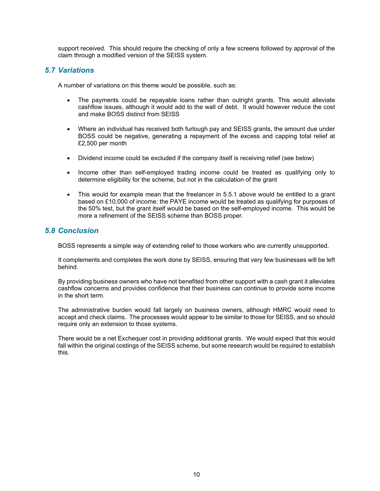support received. This should require the checking of only a few screens followed by approval of the claim through a modified version of the SEISS system.

# *5.7 Variations*

A number of variations on this theme would be possible, such as:

- The payments could be repayable loans rather than outright grants. This would alleviate cashflow issues, although it would add to the wall of debt. It would however reduce the cost and make BOSS distinct from SEISS
- Where an individual has received both furlough pay and SEISS grants, the amount due under BOSS could be negative, generating a repayment of the excess and capping total relief at £2,500 per month
- Dividend income could be excluded if the company itself is receiving relief (see below)
- Income other than self-employed trading income could be treated as qualifying only to determine eligibility for the scheme, but not in the calculation of the grant
- This would for example mean that the freelancer in 5.5.1 above would be entitled to a grant based on £10,000 of income: the PAYE income would be treated as qualifying for purposes of the 50% test, but the grant itself would be based on the self-employed income. This would be more a refinement of the SEISS scheme than BOSS proper.

# *5.8 Conclusion*

BOSS represents a simple way of extending relief to those workers who are currently unsupported.

It complements and completes the work done by SEISS, ensuring that very few businesses will be left behind.

By providing business owners who have not benefited from other support with a cash grant it alleviates cashflow concerns and provides confidence that their business can continue to provide some income in the short term.

The administrative burden would fall largely on business owners, although HMRC would need to accept and check claims. The processes would appear to be similar to those for SEISS, and so should require only an extension to those systems.

There would be a net Exchequer cost in providing additional grants. We would expect that this would fall within the original costings of the SEISS scheme, but some research would be required to establish this.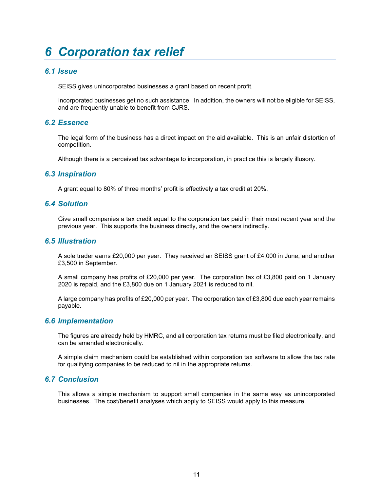# <span id="page-10-0"></span>*6 Corporation tax relief*

# *6.1 Issue*

SEISS gives unincorporated businesses a grant based on recent profit.

Incorporated businesses get no such assistance. In addition, the owners will not be eligible for SEISS, and are frequently unable to benefit from CJRS.

#### *6.2 Essence*

The legal form of the business has a direct impact on the aid available. This is an unfair distortion of competition.

Although there is a perceived tax advantage to incorporation, in practice this is largely illusory.

#### *6.3 Inspiration*

A grant equal to 80% of three months' profit is effectively a tax credit at 20%.

#### *6.4 Solution*

Give small companies a tax credit equal to the corporation tax paid in their most recent year and the previous year. This supports the business directly, and the owners indirectly.

#### *6.5 Illustration*

A sole trader earns £20,000 per year. They received an SEISS grant of £4,000 in June, and another £3,500 in September.

A small company has profits of £20,000 per year. The corporation tax of £3,800 paid on 1 January 2020 is repaid, and the £3,800 due on 1 January 2021 is reduced to nil.

A large company has profits of £20,000 per year. The corporation tax of £3,800 due each year remains payable.

#### *6.6 Implementation*

The figures are already held by HMRC, and all corporation tax returns must be filed electronically, and can be amended electronically.

A simple claim mechanism could be established within corporation tax software to allow the tax rate for qualifying companies to be reduced to nil in the appropriate returns.

### *6.7 Conclusion*

This allows a simple mechanism to support small companies in the same way as unincorporated businesses. The cost/benefit analyses which apply to SEISS would apply to this measure.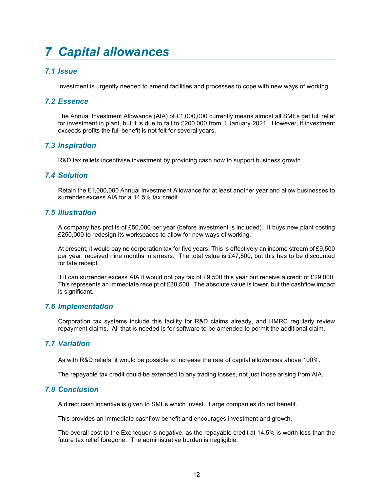# <span id="page-11-0"></span>*7 Capital allowances*

# *7.1 Issue*

Investment is urgently needed to amend facilities and processes to cope with new ways of working.

#### *7.2 Essence*

The Annual Investment Allowance (AIA) of £1,000,000 currently means almost all SMEs get full relief for investment in plant, but it is due to fall to £200,000 from 1 January 2021. However, if investment exceeds profits the full benefit is not felt for several years.

### *7.3 Inspiration*

R&D tax reliefs incentivise investment by providing cash now to support business growth.

### *7.4 Solution*

Retain the £1,000,000 Annual Investment Allowance for at least another year and allow businesses to surrender excess AIA for a 14.5% tax credit.

#### *7.5 Illustration*

A company has profits of £50,000 per year (before investment is included). It buys new plant costing £250,000 to redesign its workspaces to allow for new ways of working.

At present, it would pay no corporation tax for five years. This is effectively an income stream of £9,500 per year, received nine months in arrears. The total value is £47,500, but this has to be discounted for late receipt.

If it can surrender excess AIA it would not pay tax of £9,500 this year but receive a credit of £29,000. This represents an immediate receipt of £38,500. The absolute value is lower, but the cashflow impact is significant.

### *7.6 Implementation*

Corporation tax systems include this facility for R&D claims already, and HMRC regularly review repayment claims. All that is needed is for software to be amended to permit the additional claim.

### *7.7 Variation*

As with R&D reliefs, it would be possible to increase the rate of capital allowances above 100%.

The repayable tax credit could be extended to any trading losses, not just those arising from AIA.

#### *7.8 Conclusion*

A direct cash incentive is given to SMEs which invest. Large companies do not benefit.

This provides an immediate cashflow benefit and encourages investment and growth.

The overall cost to the Exchequer is negative, as the repayable credit at 14.5% is worth less than the future tax relief foregone. The administrative burden is negligible.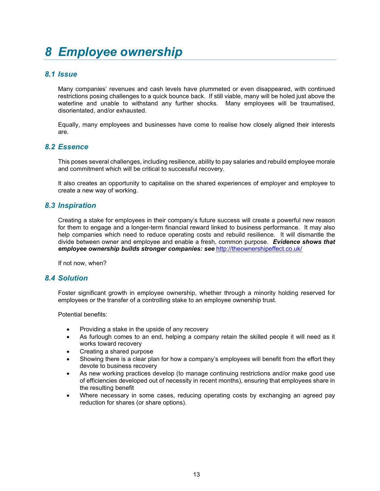# <span id="page-12-0"></span>*8 Employee ownership*

# *8.1 Issue*

Many companies' revenues and cash levels have plummeted or even disappeared, with continued restrictions posing challenges to a quick bounce back. If still viable, many will be holed just above the waterline and unable to withstand any further shocks. Many employees will be traumatised, disorientated, and/or exhausted.

Equally, many employees and businesses have come to realise how closely aligned their interests are.

### *8.2 Essence*

This poses several challenges, including resilience, ability to pay salaries and rebuild employee morale and commitment which will be critical to successful recovery.

It also creates an opportunity to capitalise on the shared experiences of employer and employee to create a new way of working.

#### *8.3 Inspiration*

Creating a stake for employees in their company's future success will create a powerful new reason for them to engage and a longer-term financial reward linked to business performance. It may also help companies which need to reduce operating costs and rebuild resilience. It will dismantle the divide between owner and employee and enable a fresh, common purpose. *Evidence shows that employee ownership builds stronger companies: see* <http://theownershipeffect.co.uk/>

If not now, when?

#### *8.4 Solution*

Foster significant growth in employee ownership, whether through a minority holding reserved for employees or the transfer of a controlling stake to an employee ownership trust.

Potential benefits:

- Providing a stake in the upside of any recovery
- As furlough comes to an end, helping a company retain the skilled people it will need as it works toward recovery
- Creating a shared purpose
- Showing there is a clear plan for how a company's employees will benefit from the effort they devote to business recovery
- As new working practices develop (to manage continuing restrictions and/or make good use of efficiencies developed out of necessity in recent months), ensuring that employees share in the resulting benefit
- Where necessary in some cases, reducing operating costs by exchanging an agreed pay reduction for shares (or share options).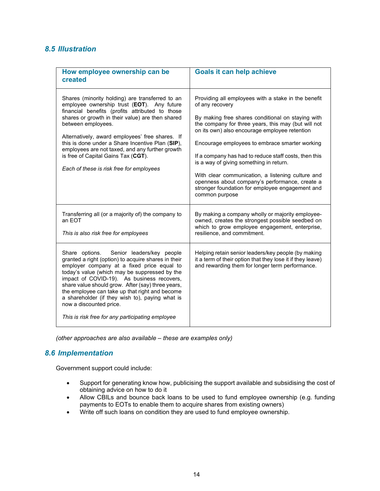# *8.5 Illustration*

| How employee ownership can be<br>created                                                                                                                                                                                                                                                                                                                                                                                                                                              | <b>Goals it can help achieve</b>                                                                                                                                                                                                                                                                                                                                                                                                                                                                                                                                      |
|---------------------------------------------------------------------------------------------------------------------------------------------------------------------------------------------------------------------------------------------------------------------------------------------------------------------------------------------------------------------------------------------------------------------------------------------------------------------------------------|-----------------------------------------------------------------------------------------------------------------------------------------------------------------------------------------------------------------------------------------------------------------------------------------------------------------------------------------------------------------------------------------------------------------------------------------------------------------------------------------------------------------------------------------------------------------------|
| Shares (minority holding) are transferred to an<br>employee ownership trust (EOT). Any future<br>financial benefits (profits attributed to those<br>shares or growth in their value) are then shared<br>between employees.<br>Alternatively, award employees' free shares. If<br>this is done under a Share Incentive Plan (SIP),<br>employees are not taxed, and any further growth<br>is free of Capital Gains Tax (CGT).<br>Each of these is risk free for employees               | Providing all employees with a stake in the benefit<br>of any recovery<br>By making free shares conditional on staying with<br>the company for three years, this may (but will not<br>on its own) also encourage employee retention<br>Encourage employees to embrace smarter working<br>If a company has had to reduce staff costs, then this<br>is a way of giving something in return.<br>With clear communication, a listening culture and<br>openness about company's performance, create a<br>stronger foundation for employee engagement and<br>common purpose |
| Transferring all (or a majority of) the company to<br>an EOT<br>This is also risk free for employees                                                                                                                                                                                                                                                                                                                                                                                  | By making a company wholly or majority employee-<br>owned, creates the strongest possible seedbed on<br>which to grow employee engagement, enterprise,<br>resilience, and commitment.                                                                                                                                                                                                                                                                                                                                                                                 |
| Share options. Senior leaders/key people<br>granted a right (option) to acquire shares in their<br>employer company at a fixed price equal to<br>today's value (which may be suppressed by the<br>impact of COVID-19). As business recovers,<br>share value should grow. After (say) three years,<br>the employee can take up that right and become<br>a shareholder (if they wish to), paying what is<br>now a discounted price.<br>This is risk free for any participating employee | Helping retain senior leaders/key people (by making<br>it a term of their option that they lose it if they leave)<br>and rewarding them for longer term performance.                                                                                                                                                                                                                                                                                                                                                                                                  |

*(other approaches are also available – these are examples only)*

# *8.6 Implementation*

Government support could include:

- Support for generating know how, publicising the support available and subsidising the cost of obtaining advice on how to do it
- Allow CBILs and bounce back loans to be used to fund employee ownership (e.g. funding payments to EOTs to enable them to acquire shares from existing owners)
- Write off such loans on condition they are used to fund employee ownership.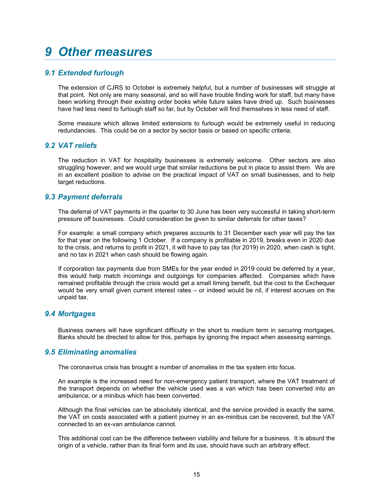# <span id="page-14-0"></span>*9 Other measures*

# *9.1 Extended furlough*

The extension of CJRS to October is extremely helpful, but a number of businesses will struggle at that point. Not only are many seasonal, and so will have trouble finding work for staff, but many have been working through their existing order books while future sales have dried up. Such businesses have had less need to furlough staff so far, but by October will find themselves in less need of staff.

Some measure which allows limited extensions to furlough would be extremely useful in reducing redundancies. This could be on a sector by sector basis or based on specific criteria.

#### *9.2 VAT reliefs*

The reduction in VAT for hospitality businesses is extremely welcome. Other sectors are also struggling however, and we would urge that similar reductions be put in place to assist them. We are in an excellent position to advise on the practical impact of VAT on small businesses, and to help target reductions.

### *9.3 Payment deferrals*

The deferral of VAT payments in the quarter to 30 June has been very successful in taking short-term pressure off businesses. Could consideration be given to similar deferrals for other taxes?

For example: a small company which prepares accounts to 31 December each year will pay the tax for that year on the following 1 October. If a company is profitable in 2019, breaks even in 2020 due to the crisis, and returns to profit in 2021, it will have to pay tax (for 2019) in 2020, when cash is tight, and no tax in 2021 when cash should be flowing again.

If corporation tax payments due from SMEs for the year ended in 2019 could be deferred by a year, this would help match incomings and outgoings for companies affected. Companies which have remained profitable through the crisis would get a small timing benefit, but the cost to the Exchequer would be very small given current interest rates – or indeed would be nil, if interest accrues on the unpaid tax.

#### *9.4 Mortgages*

Business owners will have significant difficulty in the short to medium term in securing mortgages, Banks should be directed to allow for this, perhaps by ignoring the impact when assessing earnings.

#### *9.5 Eliminating anomalies*

The coronavirus crisis has brought a number of anomalies in the tax system into focus.

An example is the increased need for non-emergency patient transport, where the VAT treatment of the transport depends on whether the vehicle used was a van which has been converted into an ambulance, or a minibus which has been converted.

Although the final vehicles can be absolutely identical, and the service provided is exactly the same, the VAT on costs associated with a patient journey in an ex-minibus can be recovered, but the VAT connected to an ex-van ambulance cannot.

This additional cost can be the difference between viability and failure for a business. It is absurd the origin of a vehicle, rather than its final form and its use, should have such an arbitrary effect.